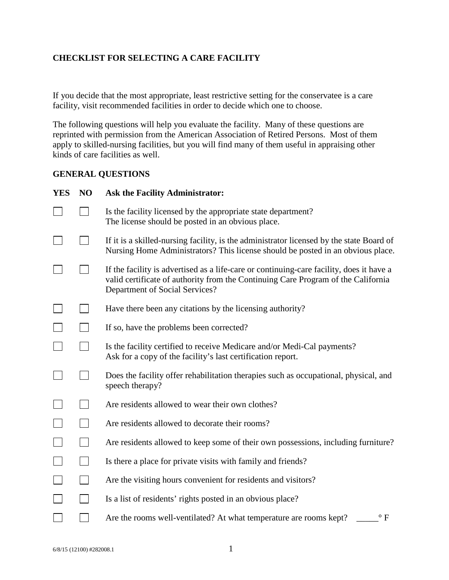### **CHECKLIST FOR SELECTING A CARE FACILITY**

If you decide that the most appropriate, least restrictive setting for the conservatee is a care facility, visit recommended facilities in order to decide which one to choose.

The following questions will help you evaluate the facility. Many of these questions are reprinted with permission from the American Association of Retired Persons. Most of them apply to skilled-nursing facilities, but you will find many of them useful in appraising other kinds of care facilities as well.

### **GENERAL QUESTIONS**

| <b>YES</b> | N <sub>O</sub> | <b>Ask the Facility Administrator:</b>                                                                                                                                                                          |  |  |  |
|------------|----------------|-----------------------------------------------------------------------------------------------------------------------------------------------------------------------------------------------------------------|--|--|--|
|            |                | Is the facility licensed by the appropriate state department?<br>The license should be posted in an obvious place.                                                                                              |  |  |  |
|            |                | If it is a skilled-nursing facility, is the administrator licensed by the state Board of<br>Nursing Home Administrators? This license should be posted in an obvious place.                                     |  |  |  |
|            |                | If the facility is advertised as a life-care or continuing-care facility, does it have a<br>valid certificate of authority from the Continuing Care Program of the California<br>Department of Social Services? |  |  |  |
|            |                | Have there been any citations by the licensing authority?                                                                                                                                                       |  |  |  |
|            |                | If so, have the problems been corrected?                                                                                                                                                                        |  |  |  |
|            |                | Is the facility certified to receive Medicare and/or Medi-Cal payments?<br>Ask for a copy of the facility's last certification report.                                                                          |  |  |  |
|            |                | Does the facility offer rehabilitation therapies such as occupational, physical, and<br>speech therapy?                                                                                                         |  |  |  |
|            |                | Are residents allowed to wear their own clothes?                                                                                                                                                                |  |  |  |
|            |                | Are residents allowed to decorate their rooms?                                                                                                                                                                  |  |  |  |
|            |                | Are residents allowed to keep some of their own possessions, including furniture?                                                                                                                               |  |  |  |
|            |                | Is there a place for private visits with family and friends?                                                                                                                                                    |  |  |  |
|            |                | Are the visiting hours convenient for residents and visitors?                                                                                                                                                   |  |  |  |
|            |                | Is a list of residents' rights posted in an obvious place?                                                                                                                                                      |  |  |  |
|            |                | Are the rooms well-ventilated? At what temperature are rooms kept?<br>$\rm ^{\circ}$ F                                                                                                                          |  |  |  |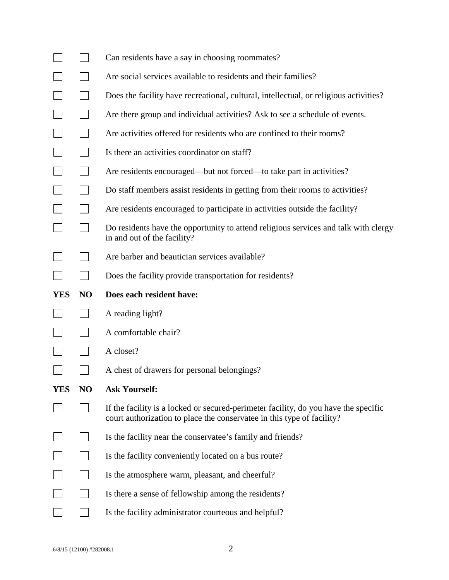|            |                | Can residents have a say in choosing roommates?                                                                                                               |  |  |  |
|------------|----------------|---------------------------------------------------------------------------------------------------------------------------------------------------------------|--|--|--|
|            |                | Are social services available to residents and their families?                                                                                                |  |  |  |
|            |                | Does the facility have recreational, cultural, intellectual, or religious activities?                                                                         |  |  |  |
|            |                | Are there group and individual activities? Ask to see a schedule of events.                                                                                   |  |  |  |
|            |                | Are activities offered for residents who are confined to their rooms?                                                                                         |  |  |  |
|            |                | Is there an activities coordinator on staff?                                                                                                                  |  |  |  |
|            |                | Are residents encouraged—but not forced—to take part in activities?                                                                                           |  |  |  |
|            |                | Do staff members assist residents in getting from their rooms to activities?                                                                                  |  |  |  |
|            |                | Are residents encouraged to participate in activities outside the facility?                                                                                   |  |  |  |
|            |                | Do residents have the opportunity to attend religious services and talk with clergy<br>in and out of the facility?                                            |  |  |  |
|            |                | Are barber and beautician services available?                                                                                                                 |  |  |  |
|            |                | Does the facility provide transportation for residents?                                                                                                       |  |  |  |
|            |                |                                                                                                                                                               |  |  |  |
| <b>YES</b> | NO             | Does each resident have:                                                                                                                                      |  |  |  |
|            |                | A reading light?                                                                                                                                              |  |  |  |
|            |                | A comfortable chair?                                                                                                                                          |  |  |  |
|            |                | A closet?                                                                                                                                                     |  |  |  |
|            |                | A chest of drawers for personal belongings?                                                                                                                   |  |  |  |
| <b>YES</b> | N <sub>O</sub> | <b>Ask Yourself:</b>                                                                                                                                          |  |  |  |
|            |                | If the facility is a locked or secured-perimeter facility, do you have the specific<br>court authorization to place the conservatee in this type of facility? |  |  |  |
|            |                | Is the facility near the conservatee's family and friends?                                                                                                    |  |  |  |
|            |                | Is the facility conveniently located on a bus route?                                                                                                          |  |  |  |
|            |                | Is the atmosphere warm, pleasant, and cheerful?                                                                                                               |  |  |  |
|            |                | Is there a sense of fellowship among the residents?                                                                                                           |  |  |  |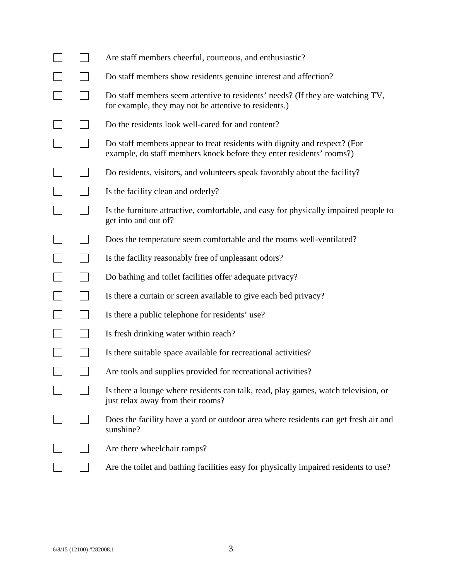|  | Are staff members cheerful, courteous, and enthusiastic?                                                                                          |
|--|---------------------------------------------------------------------------------------------------------------------------------------------------|
|  | Do staff members show residents genuine interest and affection?                                                                                   |
|  | Do staff members seem attentive to residents' needs? (If they are watching TV,<br>for example, they may not be attentive to residents.)           |
|  | Do the residents look well-cared for and content?                                                                                                 |
|  | Do staff members appear to treat residents with dignity and respect? (For<br>example, do staff members knock before they enter residents' rooms?) |
|  | Do residents, visitors, and volunteers speak favorably about the facility?                                                                        |
|  | Is the facility clean and orderly?                                                                                                                |
|  | Is the furniture attractive, comfortable, and easy for physically impaired people to<br>get into and out of?                                      |
|  | Does the temperature seem comfortable and the rooms well-ventilated?                                                                              |
|  | Is the facility reasonably free of unpleasant odors?                                                                                              |
|  | Do bathing and toilet facilities offer adequate privacy?                                                                                          |
|  | Is there a curtain or screen available to give each bed privacy?                                                                                  |
|  | Is there a public telephone for residents' use?                                                                                                   |
|  | Is fresh drinking water within reach?                                                                                                             |
|  | Is there suitable space available for recreational activities?                                                                                    |
|  | Are tools and supplies provided for recreational activities?                                                                                      |
|  | Is there a lounge where residents can talk, read, play games, watch television, or<br>just relax away from their rooms?                           |
|  | Does the facility have a yard or outdoor area where residents can get fresh air and<br>sunshine?                                                  |
|  | Are there wheelchair ramps?                                                                                                                       |
|  | Are the toilet and bathing facilities easy for physically impaired residents to use?                                                              |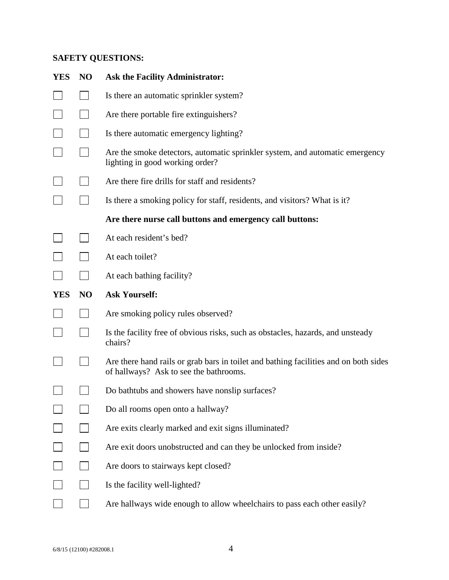# **SAFETY QUESTIONS:**

| <b>YES</b> | NO             | <b>Ask the Facility Administrator:</b>                                                                                         |  |  |
|------------|----------------|--------------------------------------------------------------------------------------------------------------------------------|--|--|
|            |                | Is there an automatic sprinkler system?                                                                                        |  |  |
|            |                | Are there portable fire extinguishers?                                                                                         |  |  |
|            |                | Is there automatic emergency lighting?                                                                                         |  |  |
|            |                | Are the smoke detectors, automatic sprinkler system, and automatic emergency<br>lighting in good working order?                |  |  |
|            |                | Are there fire drills for staff and residents?                                                                                 |  |  |
|            |                | Is there a smoking policy for staff, residents, and visitors? What is it?                                                      |  |  |
|            |                | Are there nurse call buttons and emergency call buttons:                                                                       |  |  |
|            |                | At each resident's bed?                                                                                                        |  |  |
|            |                | At each toilet?                                                                                                                |  |  |
|            |                | At each bathing facility?                                                                                                      |  |  |
|            |                |                                                                                                                                |  |  |
| <b>YES</b> | N <sub>O</sub> | <b>Ask Yourself:</b>                                                                                                           |  |  |
|            |                | Are smoking policy rules observed?                                                                                             |  |  |
|            |                | Is the facility free of obvious risks, such as obstacles, hazards, and unsteady<br>chairs?                                     |  |  |
|            |                | Are there hand rails or grab bars in toilet and bathing facilities and on both sides<br>of hallways? Ask to see the bathrooms. |  |  |
|            |                | Do bathtubs and showers have nonslip surfaces?                                                                                 |  |  |
|            |                | Do all rooms open onto a hallway?                                                                                              |  |  |
|            |                | Are exits clearly marked and exit signs illuminated?                                                                           |  |  |
|            |                | Are exit doors unobstructed and can they be unlocked from inside?                                                              |  |  |
|            |                | Are doors to stairways kept closed?                                                                                            |  |  |
|            |                | Is the facility well-lighted?                                                                                                  |  |  |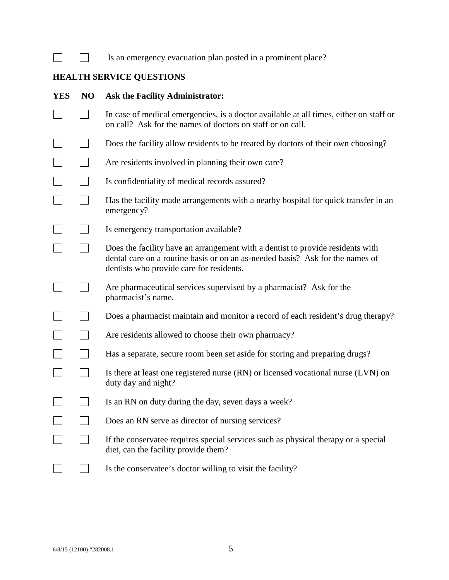| Is an emergency evacuation plan posted in a prominent place? |  |  |  |
|--------------------------------------------------------------|--|--|--|
|                                                              |  |  |  |

# **HEALTH SERVICE QUESTIONS**

 $\Box$ 

| <b>YES</b> | NO | <b>Ask the Facility Administrator:</b>                                                                                                                                                                      |  |  |  |
|------------|----|-------------------------------------------------------------------------------------------------------------------------------------------------------------------------------------------------------------|--|--|--|
|            |    | In case of medical emergencies, is a doctor available at all times, either on staff or<br>on call? Ask for the names of doctors on staff or on call.                                                        |  |  |  |
|            |    | Does the facility allow residents to be treated by doctors of their own choosing?                                                                                                                           |  |  |  |
|            |    | Are residents involved in planning their own care?                                                                                                                                                          |  |  |  |
|            |    | Is confidentiality of medical records assured?                                                                                                                                                              |  |  |  |
|            |    | Has the facility made arrangements with a nearby hospital for quick transfer in an<br>emergency?                                                                                                            |  |  |  |
|            |    | Is emergency transportation available?                                                                                                                                                                      |  |  |  |
|            |    | Does the facility have an arrangement with a dentist to provide residents with<br>dental care on a routine basis or on an as-needed basis? Ask for the names of<br>dentists who provide care for residents. |  |  |  |
|            |    | Are pharmaceutical services supervised by a pharmacist? Ask for the<br>pharmacist's name.                                                                                                                   |  |  |  |
|            |    | Does a pharmacist maintain and monitor a record of each resident's drug therapy?                                                                                                                            |  |  |  |
|            |    | Are residents allowed to choose their own pharmacy?                                                                                                                                                         |  |  |  |
|            |    | Has a separate, secure room been set aside for storing and preparing drugs?                                                                                                                                 |  |  |  |
|            |    | Is there at least one registered nurse (RN) or licensed vocational nurse (LVN) on<br>duty day and night?                                                                                                    |  |  |  |
|            |    | Is an RN on duty during the day, seven days a week?                                                                                                                                                         |  |  |  |
|            |    | Does an RN serve as director of nursing services?                                                                                                                                                           |  |  |  |
|            |    | If the conservatee requires special services such as physical therapy or a special<br>diet, can the facility provide them?                                                                                  |  |  |  |
|            |    | Is the conservatee's doctor willing to visit the facility?                                                                                                                                                  |  |  |  |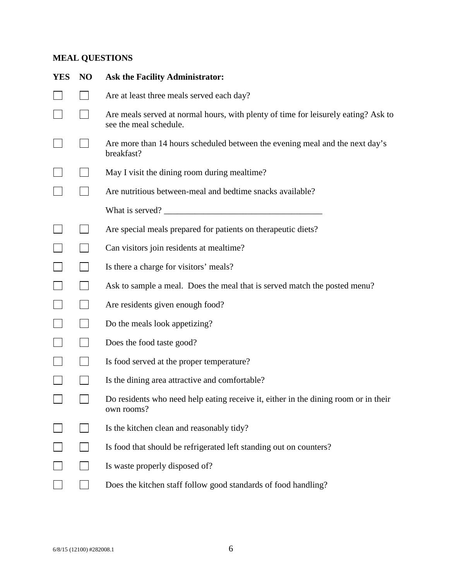# **MEAL QUESTIONS**

| <b>YES</b> | N <sub>O</sub> | <b>Ask the Facility Administrator:</b>                                                                       |  |  |
|------------|----------------|--------------------------------------------------------------------------------------------------------------|--|--|
|            |                | Are at least three meals served each day?                                                                    |  |  |
|            |                | Are meals served at normal hours, with plenty of time for leisurely eating? Ask to<br>see the meal schedule. |  |  |
|            |                | Are more than 14 hours scheduled between the evening meal and the next day's<br>breakfast?                   |  |  |
|            |                | May I visit the dining room during mealtime?                                                                 |  |  |
|            |                | Are nutritious between-meal and bedtime snacks available?                                                    |  |  |
|            |                |                                                                                                              |  |  |
|            |                | Are special meals prepared for patients on therapeutic diets?                                                |  |  |
|            |                | Can visitors join residents at mealtime?                                                                     |  |  |
|            |                | Is there a charge for visitors' meals?                                                                       |  |  |
|            |                | Ask to sample a meal. Does the meal that is served match the posted menu?                                    |  |  |
|            |                | Are residents given enough food?                                                                             |  |  |
|            |                | Do the meals look appetizing?                                                                                |  |  |
|            |                | Does the food taste good?                                                                                    |  |  |
|            |                | Is food served at the proper temperature?                                                                    |  |  |
|            |                | Is the dining area attractive and comfortable?                                                               |  |  |
|            |                | Do residents who need help eating receive it, either in the dining room or in their<br>own rooms?            |  |  |
|            |                | Is the kitchen clean and reasonably tidy?                                                                    |  |  |
|            |                | Is food that should be refrigerated left standing out on counters?                                           |  |  |
|            |                | Is waste properly disposed of?                                                                               |  |  |
|            |                | Does the kitchen staff follow good standards of food handling?                                               |  |  |